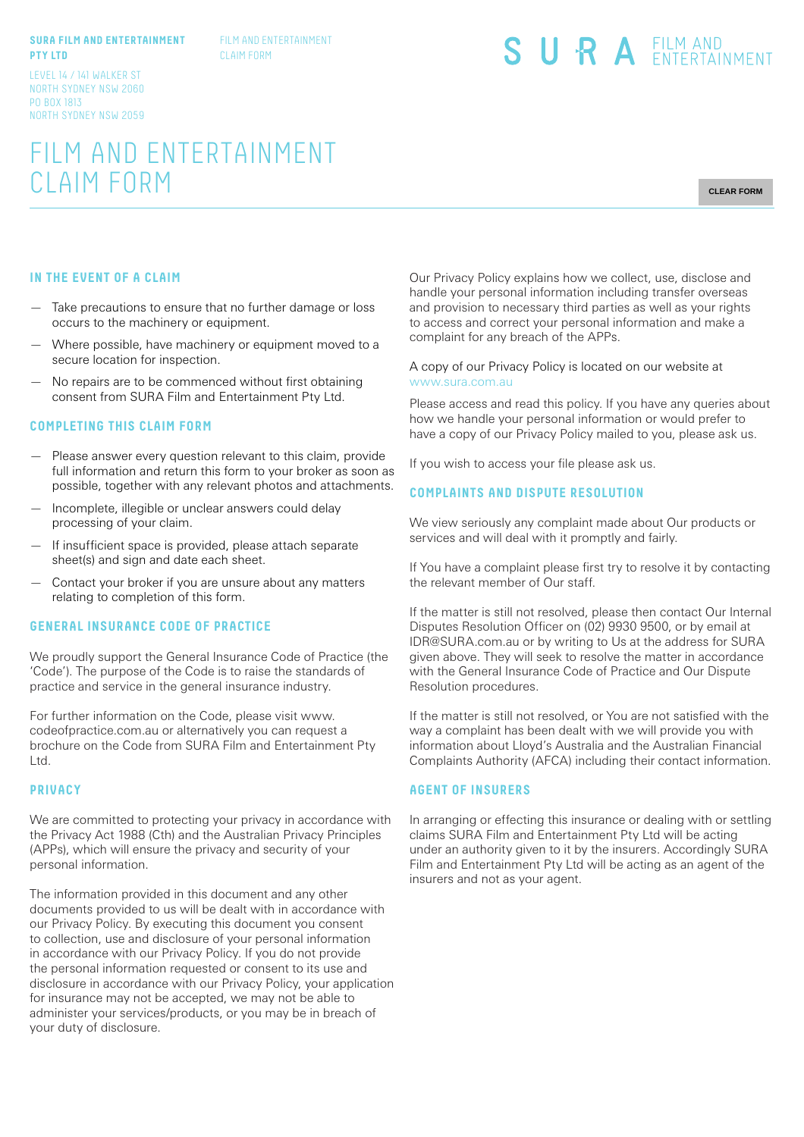#### **SURA FILM AND ENTERTAINMENT PTY LTD**

FILM AND ENTERTAINMENT CLAIM FORM

#### LEVEL 14 / 141 WALKER ST NORTH SYDNEY NSW 2060 PO BOX 1813 NORTH SYDNEY NSW 2059

# SURA EILM AND

# FILM AND ENTERTAINMENT CLAIM FORM

**CLEAR FORM**

#### **IN THE EVENT OF A CLAIM**

- Take precautions to ensure that no further damage or loss occurs to the machinery or equipment.
- Where possible, have machinery or equipment moved to a secure location for inspection.
- No repairs are to be commenced without first obtaining consent from SURA Film and Entertainment Pty Ltd.

#### **COMPLETING THIS CLAIM FORM**

- Please answer every question relevant to this claim, provide full information and return this form to your broker as soon as possible, together with any relevant photos and attachments.
- Incomplete, illegible or unclear answers could delay processing of your claim.
- If insufficient space is provided, please attach separate sheet(s) and sign and date each sheet.
- Contact your broker if you are unsure about any matters relating to completion of this form.

## **GENERAL INSURANCE CODE OF PRACTICE**

We proudly support the General Insurance Code of Practice (the 'Code'). The purpose of the Code is to raise the standards of practice and service in the general insurance industry.

For further information on the Code, please visit www. codeofpractice.com.au or alternatively you can request a brochure on the Code from SURA Film and Entertainment Pty Ltd.

#### **PRIVACY**

We are committed to protecting your privacy in accordance with the Privacy Act 1988 (Cth) and the Australian Privacy Principles (APPs), which will ensure the privacy and security of your personal information.

The information provided in this document and any other documents provided to us will be dealt with in accordance with our Privacy Policy. By executing this document you consent to collection, use and disclosure of your personal information in accordance with our Privacy Policy. If you do not provide the personal information requested or consent to its use and disclosure in accordance with our Privacy Policy, your application for insurance may not be accepted, we may not be able to administer your services/products, or you may be in breach of your duty of disclosure.

Our Privacy Policy explains how we collect, use, disclose and handle your personal information including transfer overseas and provision to necessary third parties as well as your rights to access and correct your personal information and make a complaint for any breach of the APPs.

#### A copy of our Privacy Policy is located on our website at www.sura.com.au

Please access and read this policy. If you have any queries about how we handle your personal information or would prefer to have a copy of our Privacy Policy mailed to you, please ask us.

If you wish to access your file please ask us.

#### **COMPLAINTS AND DISPUTE RESOLUTION**

We view seriously any complaint made about Our products or services and will deal with it promptly and fairly.

If You have a complaint please first try to resolve it by contacting the relevant member of Our staff.

If the matter is still not resolved, please then contact Our Internal Disputes Resolution Officer on (02) 9930 9500, or by email at IDR@SURA.com.au or by writing to Us at the address for SURA given above. They will seek to resolve the matter in accordance with the General Insurance Code of Practice and Our Dispute Resolution procedures.

If the matter is still not resolved, or You are not satisfied with the way a complaint has been dealt with we will provide you with information about Lloyd's Australia and the Australian Financial Complaints Authority (AFCA) including their contact information.

#### **AGENT OF INSURERS**

In arranging or effecting this insurance or dealing with or settling claims SURA Film and Entertainment Pty Ltd will be acting under an authority given to it by the insurers. Accordingly SURA Film and Entertainment Pty Ltd will be acting as an agent of the insurers and not as your agent.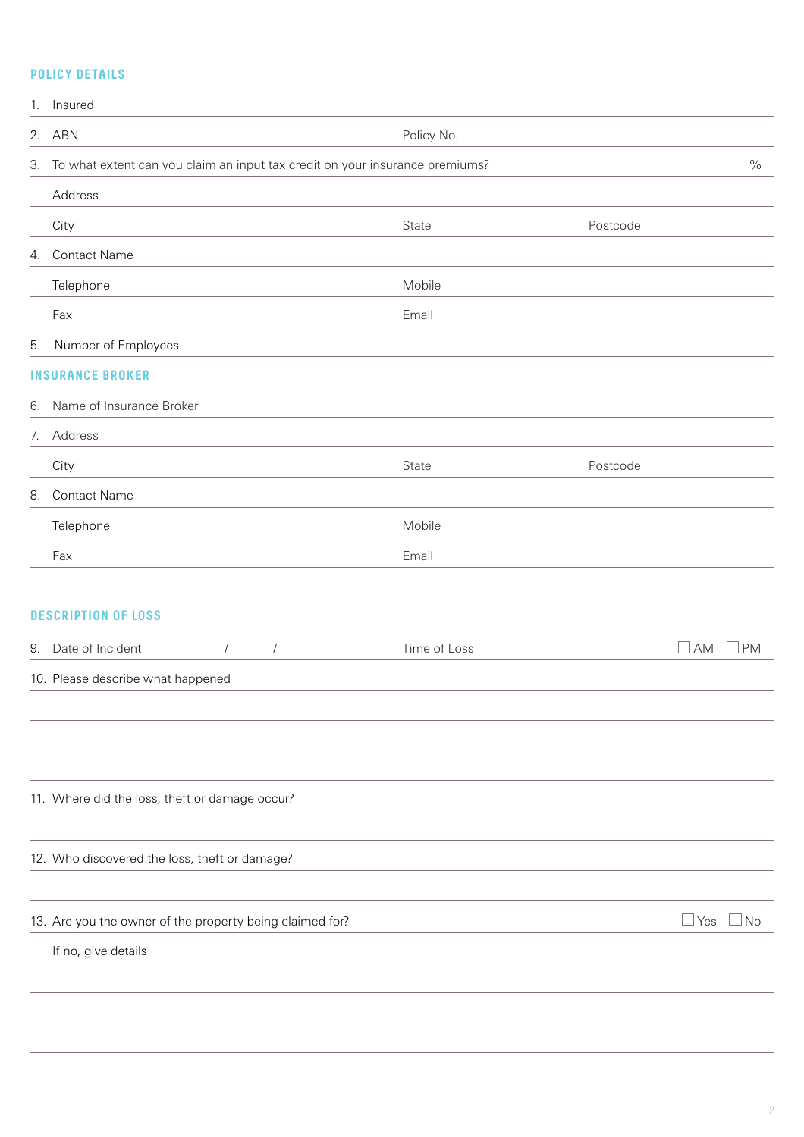# **POLICY DETAILS**

| 1. Insured                                                                      |              |          |            |           |
|---------------------------------------------------------------------------------|--------------|----------|------------|-----------|
| 2. ABN                                                                          | Policy No.   |          |            |           |
| 3. To what extent can you claim an input tax credit on your insurance premiums? |              |          |            |           |
| Address                                                                         |              |          |            |           |
| City                                                                            | State        | Postcode |            |           |
| 4. Contact Name                                                                 |              |          |            |           |
| Telephone                                                                       | Mobile       |          |            |           |
| Fax                                                                             | Email        |          |            |           |
| 5. Number of Employees                                                          |              |          |            |           |
| <b>INSURANCE BROKER</b>                                                         |              |          |            |           |
| 6. Name of Insurance Broker                                                     |              |          |            |           |
| 7. Address                                                                      |              |          |            |           |
| City                                                                            | State        | Postcode |            |           |
| 8. Contact Name                                                                 |              |          |            |           |
| Telephone                                                                       | Mobile       |          |            |           |
| Fax                                                                             | Email        |          |            |           |
|                                                                                 |              |          |            |           |
| <b>DESCRIPTION OF LOSS</b>                                                      |              |          |            |           |
| 9. Date of Incident<br>$\sqrt{2}$<br>$\sqrt{2}$                                 | Time of Loss |          | AM         | <b>PM</b> |
| 10. Please describe what happened                                               |              |          |            |           |
|                                                                                 |              |          |            |           |
|                                                                                 |              |          |            |           |
|                                                                                 |              |          |            |           |
| 11. Where did the loss, theft or damage occur?                                  |              |          |            |           |
|                                                                                 |              |          |            |           |
| 12. Who discovered the loss, theft or damage?                                   |              |          |            |           |
|                                                                                 |              |          |            |           |
| 13. Are you the owner of the property being claimed for?                        |              |          | $\Box$ Yes | $\Box$ No |
| If no, give details                                                             |              |          |            |           |
|                                                                                 |              |          |            |           |
|                                                                                 |              |          |            |           |
|                                                                                 |              |          |            |           |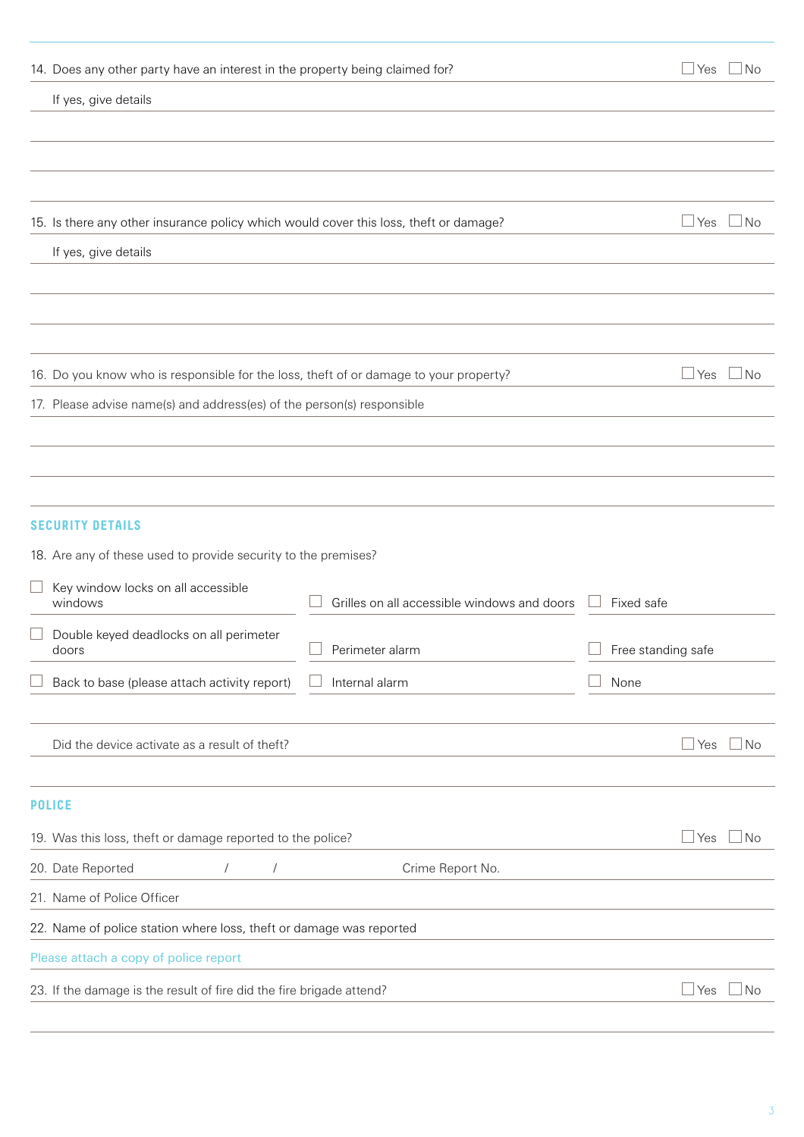|                                                                                      | 14. Does any other party have an interest in the property being claimed for?          |                                             | $\Box$ Yes           | $\Box$ No            |  |
|--------------------------------------------------------------------------------------|---------------------------------------------------------------------------------------|---------------------------------------------|----------------------|----------------------|--|
|                                                                                      | If yes, give details                                                                  |                                             |                      |                      |  |
|                                                                                      |                                                                                       |                                             |                      |                      |  |
|                                                                                      |                                                                                       |                                             |                      |                      |  |
|                                                                                      |                                                                                       |                                             |                      |                      |  |
|                                                                                      | 15. Is there any other insurance policy which would cover this loss, theft or damage? |                                             |                      | $\Box$ Yes $\Box$ No |  |
|                                                                                      | If yes, give details                                                                  |                                             |                      |                      |  |
|                                                                                      |                                                                                       |                                             |                      |                      |  |
|                                                                                      |                                                                                       |                                             |                      |                      |  |
|                                                                                      |                                                                                       |                                             |                      |                      |  |
|                                                                                      | 16. Do you know who is responsible for the loss, theft of or damage to your property? |                                             | $\Box$ Yes           | $\Box$ No            |  |
|                                                                                      | 17. Please advise name(s) and address(es) of the person(s) responsible                |                                             |                      |                      |  |
|                                                                                      |                                                                                       |                                             |                      |                      |  |
|                                                                                      |                                                                                       |                                             |                      |                      |  |
|                                                                                      |                                                                                       |                                             |                      |                      |  |
|                                                                                      | <b>SECURITY DETAILS</b>                                                               |                                             |                      |                      |  |
|                                                                                      | 18. Are any of these used to provide security to the premises?                        |                                             |                      |                      |  |
|                                                                                      | Key window locks on all accessible<br>windows                                         | Grilles on all accessible windows and doors | Fixed safe           |                      |  |
|                                                                                      | Double keyed deadlocks on all perimeter                                               |                                             |                      |                      |  |
|                                                                                      | doors                                                                                 | Perimeter alarm                             | Free standing safe   |                      |  |
|                                                                                      | Back to base (please attach activity report)                                          | Internal alarm                              | None                 |                      |  |
|                                                                                      |                                                                                       |                                             |                      |                      |  |
|                                                                                      | Did the device activate as a result of theft?                                         |                                             | $\mathsf{\perp}$ Yes | $\Box$ No            |  |
|                                                                                      |                                                                                       |                                             |                      |                      |  |
|                                                                                      | <b>POLICE</b>                                                                         |                                             | $\sqcup$ Yes         |                      |  |
| 19. Was this loss, theft or damage reported to the police?                           |                                                                                       |                                             |                      |                      |  |
|                                                                                      | 20. Date Reported<br>$\sqrt{2}$<br>$\sqrt{2}$                                         | Crime Report No.                            |                      |                      |  |
|                                                                                      | 21. Name of Police Officer                                                            |                                             |                      |                      |  |
|                                                                                      | 22. Name of police station where loss, theft or damage was reported                   |                                             |                      |                      |  |
|                                                                                      | Please attach a copy of police report                                                 |                                             |                      |                      |  |
| 23. If the damage is the result of fire did the fire brigade attend?<br>$\sqcup$ Yes |                                                                                       |                                             |                      |                      |  |
|                                                                                      |                                                                                       |                                             |                      |                      |  |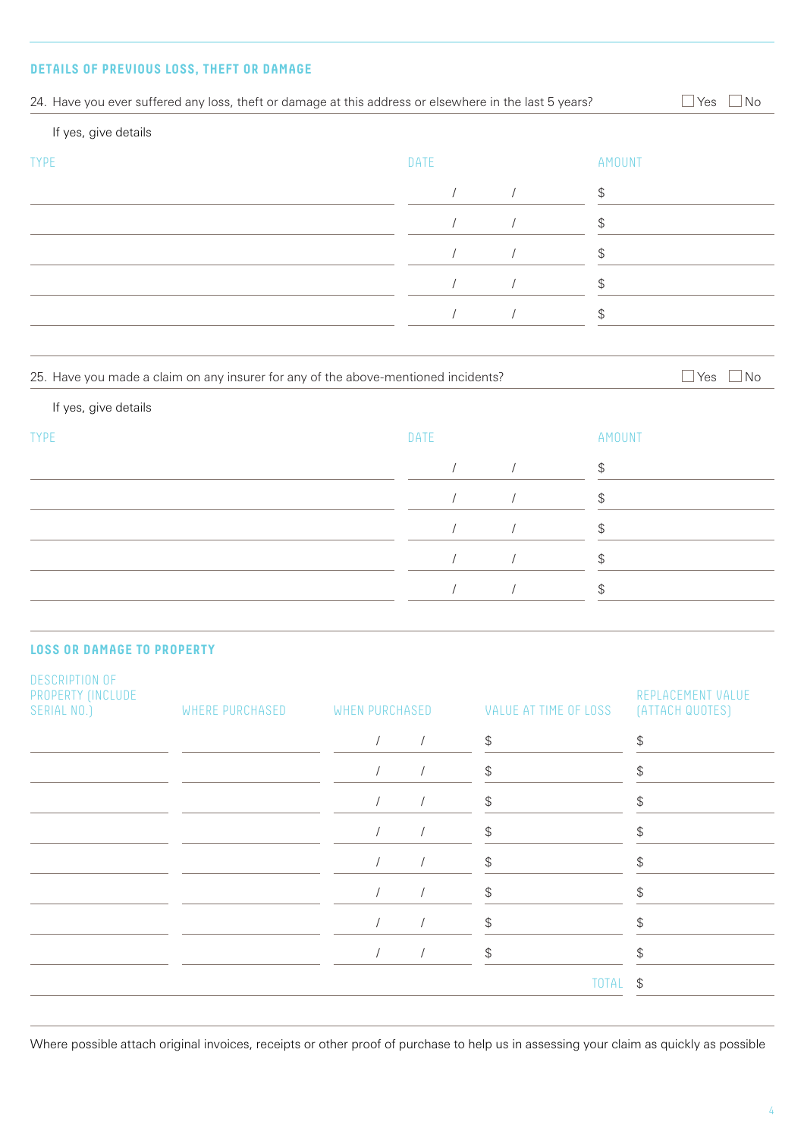# **DETAILS OF PREVIOUS LOSS, THEFT OR DAMAGE**

| If yes, give details                                                  |                                                                                    |                |                      |                                               |               |                                               |  |
|-----------------------------------------------------------------------|------------------------------------------------------------------------------------|----------------|----------------------|-----------------------------------------------|---------------|-----------------------------------------------|--|
| <b>TYPE</b>                                                           |                                                                                    |                | DATE                 |                                               | <b>AMOUNT</b> |                                               |  |
|                                                                       |                                                                                    |                | $\prime$             | $\sqrt{ }$                                    | \$            |                                               |  |
|                                                                       |                                                                                    |                | $\sqrt{2}$           | $\sqrt{2}$                                    | \$            |                                               |  |
|                                                                       |                                                                                    |                |                      | $\prime$                                      | \$            |                                               |  |
|                                                                       |                                                                                    |                | $\sqrt{2}$           | $\sqrt{2}$                                    | \$            |                                               |  |
|                                                                       |                                                                                    |                | $\sqrt{2}$           | $\sqrt{2}$                                    | \$            |                                               |  |
|                                                                       |                                                                                    |                |                      |                                               |               |                                               |  |
|                                                                       | 25. Have you made a claim on any insurer for any of the above-mentioned incidents? |                |                      |                                               |               | $\exists$ Yes<br>  No                         |  |
| If yes, give details                                                  |                                                                                    |                |                      |                                               |               |                                               |  |
| <b>TYPE</b>                                                           |                                                                                    |                | DATE                 |                                               | AMOUNT        |                                               |  |
|                                                                       |                                                                                    |                | $\prime$             | $\sqrt{ }$                                    | \$            |                                               |  |
|                                                                       |                                                                                    |                | $\prime$             | $\sqrt{2}$                                    | \$            |                                               |  |
|                                                                       |                                                                                    |                |                      | $\sqrt{2}$                                    | \$            |                                               |  |
|                                                                       |                                                                                    |                | $\sqrt{ }$           | $\sqrt{2}$                                    | \$            |                                               |  |
|                                                                       |                                                                                    |                | $\sqrt{ }$           | $\sqrt{2}$                                    | \$            |                                               |  |
|                                                                       |                                                                                    |                |                      |                                               |               |                                               |  |
| <b>LOSS OR DAMAGE TO PROPERTY</b>                                     |                                                                                    |                |                      |                                               |               |                                               |  |
| DESCRIPTION OF<br>PROPERTY (INCLUDE<br>SERIAL NO.)<br>WHERE PURCHASED |                                                                                    | WHEN PURCHASED |                      | VALUE AT TIME OF LOSS                         |               | REPLACEMENT VALUE<br>(ATTACH QUOTES)          |  |
|                                                                       |                                                                                    | $\sqrt{2}$     | $\sqrt{\phantom{a}}$ | ${\mathbb S}$                                 |               | $\, \, \raisebox{12pt}{$\scriptstyle \$}$     |  |
|                                                                       |                                                                                    | $\sqrt{2}$     | $\sqrt{2}$           | $\, \, \raisebox{12pt}{$\scriptstyle \$}$     |               | $\, \, \raisebox{12pt}{$\scriptstyle \$}$     |  |
|                                                                       |                                                                                    | $\sqrt{2}$     | $\sqrt{\phantom{a}}$ | $\, \, \raisebox{12pt}{$\scriptstyle \$}$     |               | $\, \, \raisebox{12pt}{$\scriptstyle \circ$}$ |  |
|                                                                       |                                                                                    | $\sqrt{2}$     | $\sqrt{2}$           | $\, \, \raisebox{12pt}{$\scriptstyle \$}$     |               | $\, \, \raisebox{12pt}{$\scriptstyle \circ$}$ |  |
|                                                                       |                                                                                    | $\sqrt{2}$     | $\sqrt{ }$           | \$                                            |               | $\, \, \raisebox{12pt}{$\scriptstyle \circ$}$ |  |
|                                                                       |                                                                                    | $\sqrt{2}$     | $\sqrt{ }$           | $\, \, \raisebox{12pt}{$\scriptstyle \circ$}$ |               | $\, \, \raisebox{12pt}{$\scriptstyle \$}$     |  |
|                                                                       |                                                                                    |                |                      |                                               |               |                                               |  |
|                                                                       |                                                                                    | $\sqrt{2}$     | $\sqrt{ }$           | $\, \, \raisebox{12pt}{$\scriptstyle \circ$}$ |               | $\, \, \raisebox{12pt}{$\scriptstyle \circ$}$ |  |
|                                                                       |                                                                                    | $\sqrt{2}$     | $\sqrt{2}$           | $\, \, \raisebox{12pt}{$\scriptstyle \circ$}$ |               | $$\mathbb{S}$$                                |  |

Where possible attach original invoices, receipts or other proof of purchase to help us in assessing your claim as quickly as possible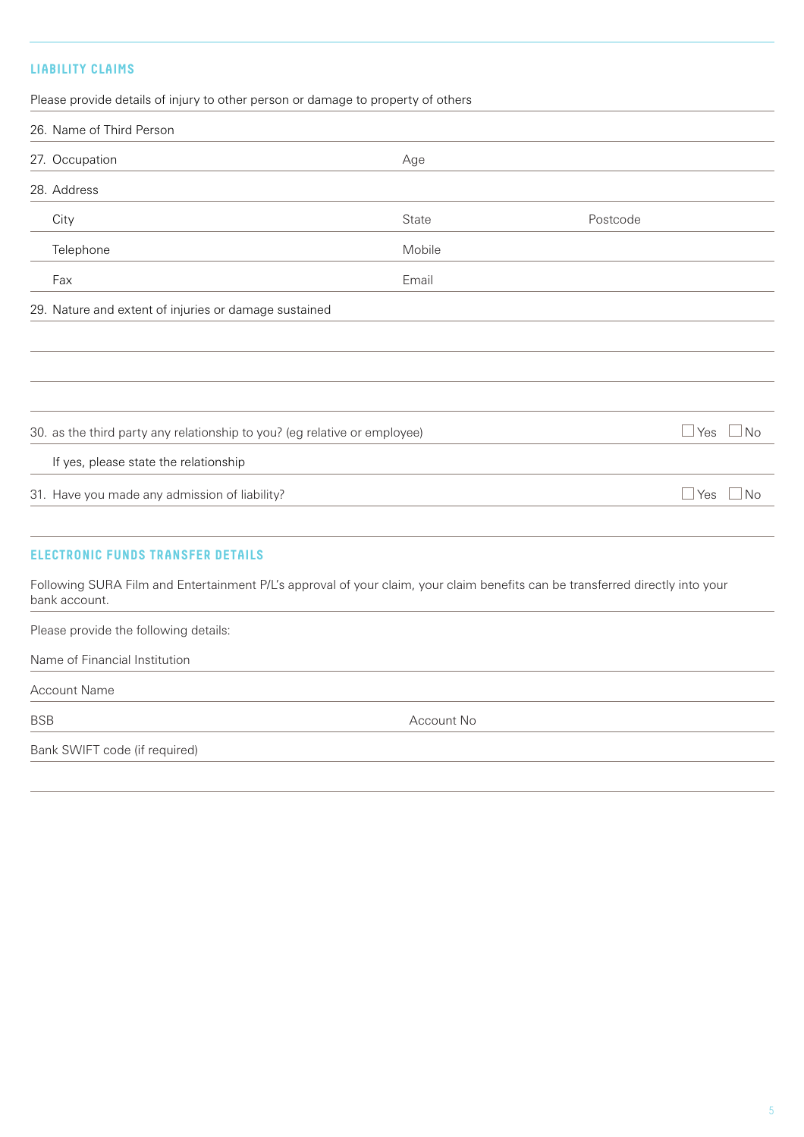# **LIABILITY CLAIMS**

Please provide details of injury to other person or damage to property of others

|                                                       | 26. Name of Third Person                                                                                                                       |        |          |                         |
|-------------------------------------------------------|------------------------------------------------------------------------------------------------------------------------------------------------|--------|----------|-------------------------|
|                                                       | 27. Occupation                                                                                                                                 | Age    |          |                         |
|                                                       | 28. Address                                                                                                                                    |        |          |                         |
|                                                       | City                                                                                                                                           | State  | Postcode |                         |
|                                                       | Telephone                                                                                                                                      | Mobile |          |                         |
|                                                       | Fax                                                                                                                                            | Email  |          |                         |
| 29. Nature and extent of injuries or damage sustained |                                                                                                                                                |        |          |                         |
|                                                       |                                                                                                                                                |        |          |                         |
|                                                       |                                                                                                                                                |        |          |                         |
|                                                       |                                                                                                                                                |        |          |                         |
|                                                       | 30. as the third party any relationship to you? (eg relative or employee)                                                                      |        |          | Yes<br>No               |
|                                                       | If yes, please state the relationship                                                                                                          |        |          |                         |
|                                                       | 31. Have you made any admission of liability?                                                                                                  |        |          | $\Box$ Yes<br>$\Box$ No |
|                                                       | <b>ELECTRONIC FUNDS TRANSFER DETAILS</b>                                                                                                       |        |          |                         |
|                                                       | Following SURA Film and Entertainment P/L's approval of your claim, your claim benefits can be transferred directly into your<br>bank account. |        |          |                         |
|                                                       | Please provide the following details:                                                                                                          |        |          |                         |

Name of Financial Institution

Account Name

BSB Account No

Bank SWIFT code (if required)